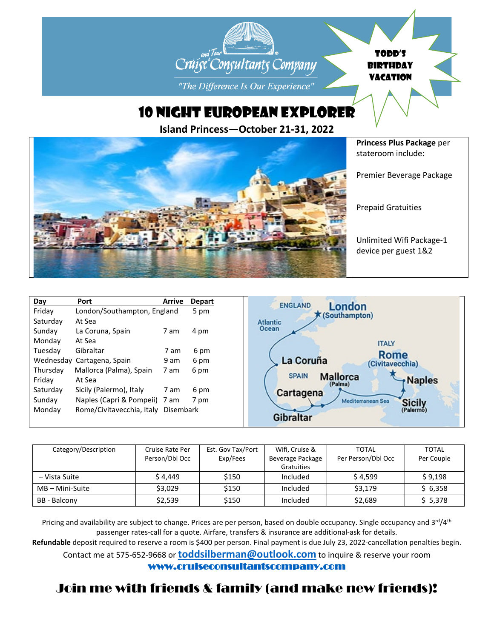## TODD'S Cruise Consultants Company BIRTHDAY VACATION"The Difference Is Our Experience"

10 NIGHT EUROPEAN EXPLORER

**Island Princess—October 21-31, 2022**



| Day      | Port                                | <b>Arrive</b> | <b>Depart</b> | <b>ENGLAND</b>                              |
|----------|-------------------------------------|---------------|---------------|---------------------------------------------|
| Friday   | London/Southampton, England         |               | 5 pm          | London<br>$k$ (Southampton)                 |
| Saturday | At Sea                              |               |               | <b>Atlantic</b>                             |
| Sunday   | La Coruna, Spain                    | 7 am          | 4 pm          | Ocean                                       |
| Mondav   | At Sea                              |               |               | <b>ITALY</b>                                |
| Tuesday  | Gibraltar                           | 7 am          | 6 pm          | Rome                                        |
|          | Wednesday Cartagena, Spain          | 9 am          | 6 pm          | La Coruña<br>(Civitavecchia)                |
| Thursday | Mallorca (Palma), Spain             | 7 am          | 6 pm          | <b>SPAIN</b>                                |
| Friday   | At Sea                              |               |               | <b>Mallorca</b><br><b>Naples</b><br>(Palma) |
| Saturday | Sicily (Palermo), Italy             | 7 am          | 6 pm          | Cartagena                                   |
| Sunday   | Naples (Capri & Pompeii) 7 am       |               | 7 pm          | Mediterranean Sea<br><b>Sicily</b>          |
| Monday   | Rome/Civitavecchia, Italy Disembark |               |               | (Palermo)                                   |
|          |                                     |               |               | Gibralta                                    |

| Category/Description | Cruise Rate Per<br>Person/Dbl Occ | Est. Gov Tax/Port<br>Exp/Fees | Wifi, Cruise &<br>Beverage Package<br>Gratuities | TOTAL<br>Per Person/Dbl Occ | <b>TOTAL</b><br>Per Couple |
|----------------------|-----------------------------------|-------------------------------|--------------------------------------------------|-----------------------------|----------------------------|
| – Vista Suite        | \$4,449                           | \$150                         | Included                                         | \$4,599                     | \$9,198                    |
| $MB - Mini-Suite$    | \$3,029                           | \$150                         | Included                                         | \$3,179                     | \$6,358                    |
| BB - Balcony         | \$2,539                           | \$150                         | Included                                         | \$2,689                     | \$5,378                    |

Pricing and availability are subject to change. Prices are per person, based on double occupancy. Single occupancy and 3<sup>rd</sup>/4<sup>th</sup> passenger rates-call for a quote. Airfare, transfers & insurance are additional-ask for details. **Refundable** deposit required to reserve a room is \$400 per person. Final payment is due July 23, 2022-cancellation penalties begin.

Contact me at 575-652-9668 or **[toddsilberman@outlook.com](mailto:toddsilberman@outlook.com)** to inquire & reserve your room

[www.cruiseconsultantscompany.com](http://www.cruiseconsultantscompany.com/)

## Join me with friends & family (and make new friends)!